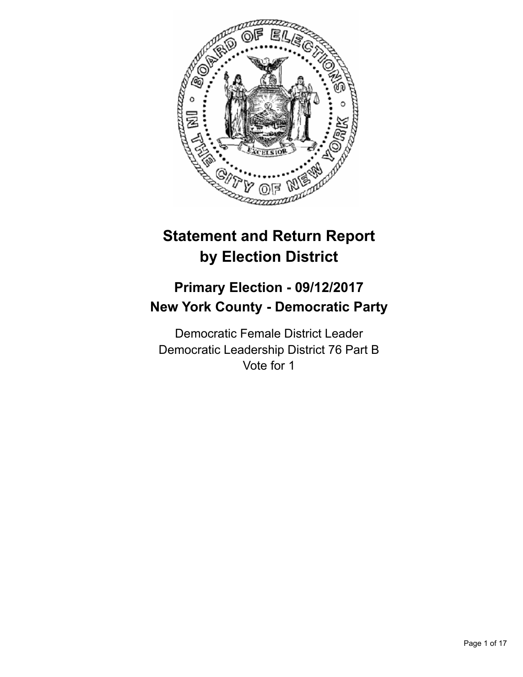

# **Statement and Return Report by Election District**

## **Primary Election - 09/12/2017 New York County - Democratic Party**

Democratic Female District Leader Democratic Leadership District 76 Part B Vote for 1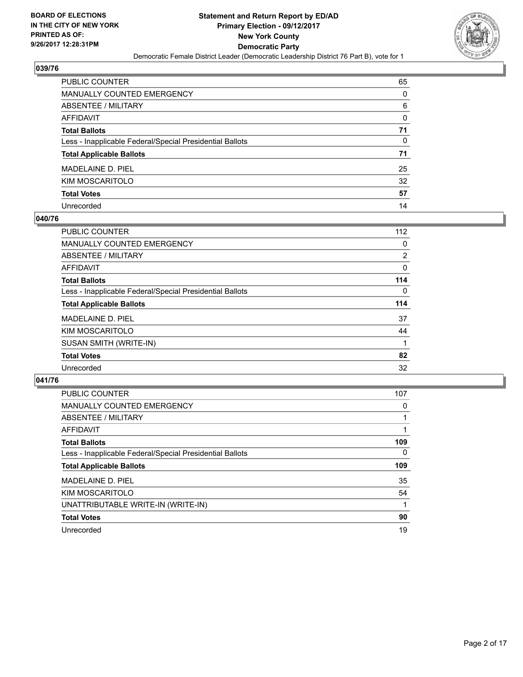

| PUBLIC COUNTER                                           | 65 |
|----------------------------------------------------------|----|
| <b>MANUALLY COUNTED EMERGENCY</b>                        | 0  |
| <b>ABSENTEE / MILITARY</b>                               | 6  |
| AFFIDAVIT                                                | 0  |
| <b>Total Ballots</b>                                     | 71 |
| Less - Inapplicable Federal/Special Presidential Ballots | 0  |
| <b>Total Applicable Ballots</b>                          | 71 |
| MADELAINE D. PIEL                                        | 25 |
| KIM MOSCARITOLO                                          | 32 |
| <b>Total Votes</b>                                       | 57 |
| Unrecorded                                               | 14 |

## **040/76**

| <b>PUBLIC COUNTER</b>                                    | 112            |
|----------------------------------------------------------|----------------|
| <b>MANUALLY COUNTED EMERGENCY</b>                        | 0              |
| ABSENTEE / MILITARY                                      | $\overline{2}$ |
| AFFIDAVIT                                                | 0              |
| <b>Total Ballots</b>                                     | 114            |
| Less - Inapplicable Federal/Special Presidential Ballots | $\Omega$       |
| <b>Total Applicable Ballots</b>                          | 114            |
| MADELAINE D. PIEL                                        | 37             |
| KIM MOSCARITOLO                                          | 44             |
| SUSAN SMITH (WRITE-IN)                                   |                |
| <b>Total Votes</b>                                       | 82             |
| Unrecorded                                               | 32             |

| <b>PUBLIC COUNTER</b>                                    | 107      |
|----------------------------------------------------------|----------|
| <b>MANUALLY COUNTED EMERGENCY</b>                        | 0        |
| ABSENTEE / MILITARY                                      |          |
| <b>AFFIDAVIT</b>                                         |          |
| <b>Total Ballots</b>                                     | 109      |
| Less - Inapplicable Federal/Special Presidential Ballots | $\Omega$ |
| <b>Total Applicable Ballots</b>                          | 109      |
| MADELAINE D. PIEL                                        | 35       |
| KIM MOSCARITOLO                                          | 54       |
| UNATTRIBUTABLE WRITE-IN (WRITE-IN)                       |          |
| <b>Total Votes</b>                                       | 90       |
| Unrecorded                                               | 19       |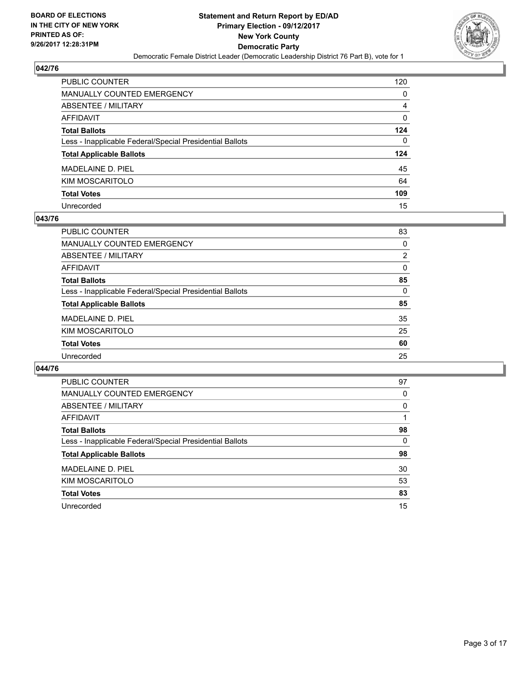

| PUBLIC COUNTER                                           | 120 |
|----------------------------------------------------------|-----|
| <b>MANUALLY COUNTED EMERGENCY</b>                        | 0   |
| <b>ABSENTEE / MILITARY</b>                               | 4   |
| <b>AFFIDAVIT</b>                                         | 0   |
| <b>Total Ballots</b>                                     | 124 |
| Less - Inapplicable Federal/Special Presidential Ballots | 0   |
| <b>Total Applicable Ballots</b>                          | 124 |
| MADELAINE D. PIEL                                        | 45  |
| KIM MOSCARITOLO                                          | 64  |
| <b>Total Votes</b>                                       | 109 |
| Unrecorded                                               | 15  |

#### **043/76**

| <b>PUBLIC COUNTER</b>                                    | 83       |
|----------------------------------------------------------|----------|
| MANUALLY COUNTED EMERGENCY                               | 0        |
| ABSENTEE / MILITARY                                      | 2        |
| AFFIDAVIT                                                | $\Omega$ |
| <b>Total Ballots</b>                                     | 85       |
| Less - Inapplicable Federal/Special Presidential Ballots | 0        |
| <b>Total Applicable Ballots</b>                          | 85       |
| MADELAINE D. PIEL                                        | 35       |
| <b>KIM MOSCARITOLO</b>                                   | 25       |
| <b>Total Votes</b>                                       | 60       |
| Unrecorded                                               | 25       |
|                                                          |          |

| <b>PUBLIC COUNTER</b>                                    | 97 |
|----------------------------------------------------------|----|
| <b>MANUALLY COUNTED EMERGENCY</b>                        | 0  |
| ABSENTEE / MILITARY                                      | 0  |
| AFFIDAVIT                                                |    |
| <b>Total Ballots</b>                                     | 98 |
| Less - Inapplicable Federal/Special Presidential Ballots | 0  |
| <b>Total Applicable Ballots</b>                          | 98 |
| MADELAINE D. PIEL                                        | 30 |
| KIM MOSCARITOLO                                          | 53 |
| <b>Total Votes</b>                                       | 83 |
| Unrecorded                                               | 15 |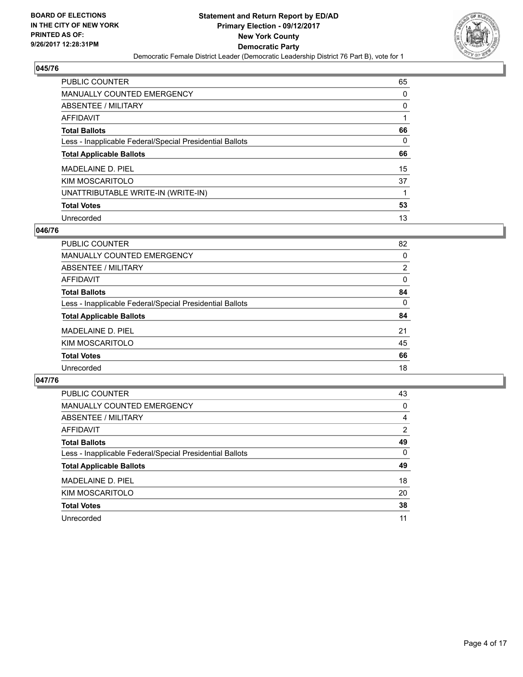

| <b>PUBLIC COUNTER</b>                                    | 65 |
|----------------------------------------------------------|----|
| <b>MANUALLY COUNTED EMERGENCY</b>                        | 0  |
| ABSENTEE / MILITARY                                      | 0  |
| AFFIDAVIT                                                |    |
| <b>Total Ballots</b>                                     | 66 |
| Less - Inapplicable Federal/Special Presidential Ballots | 0  |
| <b>Total Applicable Ballots</b>                          | 66 |
| MADELAINE D. PIEL                                        | 15 |
| KIM MOSCARITOLO                                          | 37 |
| UNATTRIBUTABLE WRITE-IN (WRITE-IN)                       |    |
| <b>Total Votes</b>                                       | 53 |
| Unrecorded                                               |    |

## **046/76**

| <b>PUBLIC COUNTER</b>                                    | 82       |
|----------------------------------------------------------|----------|
|                                                          |          |
| MANUALLY COUNTED EMERGENCY                               | 0        |
| ABSENTEE / MILITARY                                      | 2        |
| AFFIDAVIT                                                | $\Omega$ |
| <b>Total Ballots</b>                                     | 84       |
| Less - Inapplicable Federal/Special Presidential Ballots | 0        |
| <b>Total Applicable Ballots</b>                          | 84       |
| MADELAINE D. PIEL                                        | 21       |
| KIM MOSCARITOLO                                          | 45       |
| <b>Total Votes</b>                                       | 66       |
| Unrecorded                                               | 18       |

| PUBLIC COUNTER                                           | 43 |
|----------------------------------------------------------|----|
| MANUALLY COUNTED EMERGENCY                               | 0  |
| ABSENTEE / MILITARY                                      | 4  |
| AFFIDAVIT                                                | 2  |
| <b>Total Ballots</b>                                     | 49 |
| Less - Inapplicable Federal/Special Presidential Ballots | 0  |
| <b>Total Applicable Ballots</b>                          | 49 |
| MADELAINE D. PIEL                                        | 18 |
| KIM MOSCARITOLO                                          | 20 |
| <b>Total Votes</b>                                       | 38 |
| Unrecorded                                               | 11 |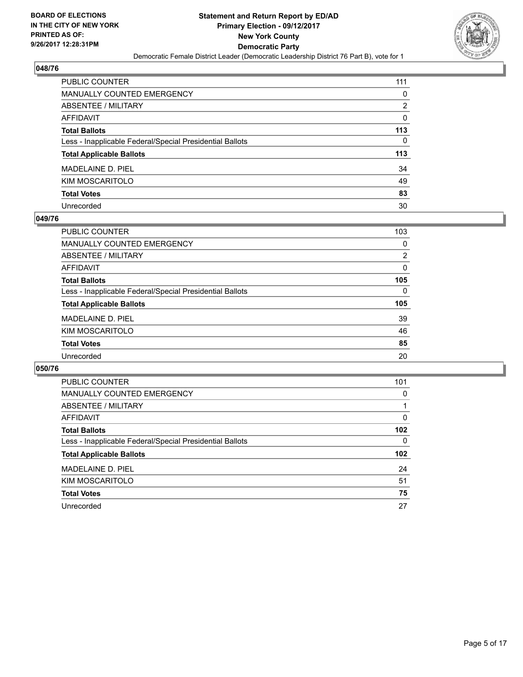

| PUBLIC COUNTER                                           | 111 |
|----------------------------------------------------------|-----|
| <b>MANUALLY COUNTED EMERGENCY</b>                        | 0   |
| ABSENTEE / MILITARY                                      | 2   |
| <b>AFFIDAVIT</b>                                         | 0   |
| <b>Total Ballots</b>                                     | 113 |
| Less - Inapplicable Federal/Special Presidential Ballots | 0   |
| <b>Total Applicable Ballots</b>                          | 113 |
| MADELAINE D. PIEL                                        | 34  |
| KIM MOSCARITOLO                                          | 49  |
| <b>Total Votes</b>                                       | 83  |
| Unrecorded                                               | 30  |

## **049/76**

| <b>PUBLIC COUNTER</b>                                    | 103 |
|----------------------------------------------------------|-----|
| MANUALLY COUNTED EMERGENCY                               | 0   |
| ABSENTEE / MILITARY                                      | 2   |
| AFFIDAVIT                                                | 0   |
| <b>Total Ballots</b>                                     | 105 |
| Less - Inapplicable Federal/Special Presidential Ballots | 0   |
| <b>Total Applicable Ballots</b>                          | 105 |
| MADELAINE D. PIEL                                        | 39  |
| KIM MOSCARITOLO                                          | 46  |
| <b>Total Votes</b>                                       | 85  |
| Unrecorded                                               | 20  |

| <b>PUBLIC COUNTER</b>                                    | 101 |
|----------------------------------------------------------|-----|
| <b>MANUALLY COUNTED EMERGENCY</b>                        | 0   |
| ABSENTEE / MILITARY                                      |     |
| AFFIDAVIT                                                | 0   |
| <b>Total Ballots</b>                                     | 102 |
| Less - Inapplicable Federal/Special Presidential Ballots | 0   |
| <b>Total Applicable Ballots</b>                          | 102 |
| MADELAINE D. PIEL                                        | 24  |
| KIM MOSCARITOLO                                          | 51  |
| <b>Total Votes</b>                                       | 75  |
| Unrecorded                                               | 27  |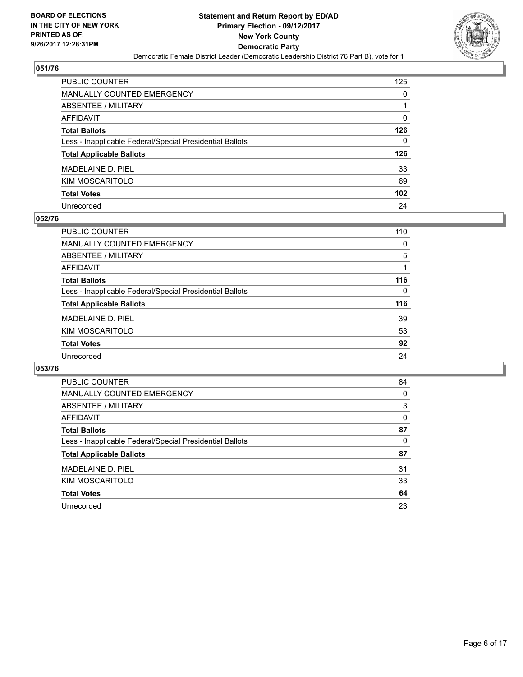

| <b>PUBLIC COUNTER</b>                                    | 125 |
|----------------------------------------------------------|-----|
| <b>MANUALLY COUNTED EMERGENCY</b>                        | 0   |
| ABSENTEE / MILITARY                                      |     |
| <b>AFFIDAVIT</b>                                         | 0   |
| <b>Total Ballots</b>                                     | 126 |
| Less - Inapplicable Federal/Special Presidential Ballots | 0   |
| <b>Total Applicable Ballots</b>                          | 126 |
| MADELAINE D. PIEL                                        | 33  |
| KIM MOSCARITOLO                                          | 69  |
| <b>Total Votes</b>                                       | 102 |
| Unrecorded                                               | 24  |

## **052/76**

| PUBLIC COUNTER                                           | 110 |
|----------------------------------------------------------|-----|
| <b>MANUALLY COUNTED EMERGENCY</b>                        | 0   |
| ABSENTEE / MILITARY                                      | 5   |
| AFFIDAVIT                                                |     |
| <b>Total Ballots</b>                                     | 116 |
| Less - Inapplicable Federal/Special Presidential Ballots | 0   |
| <b>Total Applicable Ballots</b>                          | 116 |
| MADELAINE D. PIEL                                        | 39  |
| KIM MOSCARITOLO                                          | 53  |
| <b>Total Votes</b>                                       | 92  |
| Unrecorded                                               | 24  |

| <b>PUBLIC COUNTER</b>                                    | 84 |
|----------------------------------------------------------|----|
| MANUALLY COUNTED EMERGENCY                               | 0  |
| ABSENTEE / MILITARY                                      | 3  |
| AFFIDAVIT                                                | 0  |
| <b>Total Ballots</b>                                     | 87 |
| Less - Inapplicable Federal/Special Presidential Ballots | 0  |
| <b>Total Applicable Ballots</b>                          | 87 |
| MADELAINE D. PIEL                                        | 31 |
| KIM MOSCARITOLO                                          | 33 |
| <b>Total Votes</b>                                       | 64 |
| Unrecorded                                               | 23 |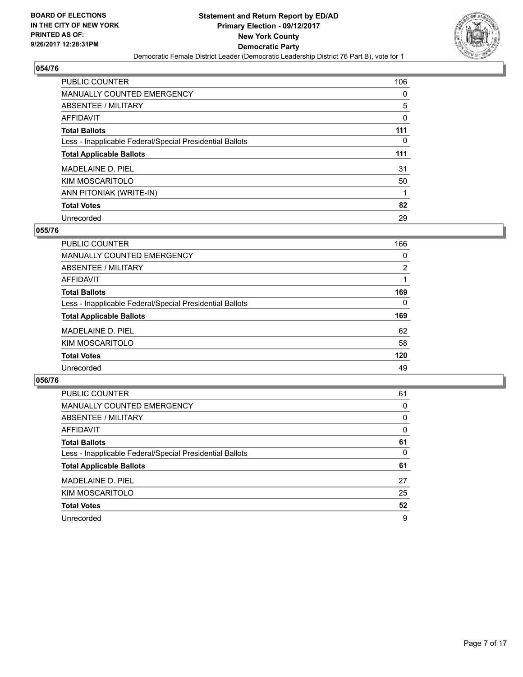

| <b>PUBLIC COUNTER</b>                                    | 106 |
|----------------------------------------------------------|-----|
| <b>MANUALLY COUNTED EMERGENCY</b>                        | 0   |
| ABSENTEE / MILITARY                                      | 5   |
| AFFIDAVIT                                                | 0   |
| <b>Total Ballots</b>                                     | 111 |
| Less - Inapplicable Federal/Special Presidential Ballots | 0   |
| <b>Total Applicable Ballots</b>                          | 111 |
|                                                          |     |
| MADELAINE D. PIEL                                        | 31  |
| KIM MOSCARITOLO                                          | 50  |
| ANN PITONIAK (WRITE-IN)                                  |     |
| <b>Total Votes</b>                                       | 82  |

## **055/76**

| <b>PUBLIC COUNTER</b>                                    | 166 |
|----------------------------------------------------------|-----|
| <b>MANUALLY COUNTED EMERGENCY</b>                        | 0   |
| <b>ABSENTEE / MILITARY</b>                               | 2   |
| <b>AFFIDAVIT</b>                                         |     |
| <b>Total Ballots</b>                                     | 169 |
| Less - Inapplicable Federal/Special Presidential Ballots | 0   |
| <b>Total Applicable Ballots</b>                          | 169 |
| MADELAINE D. PIEL                                        | 62  |
| KIM MOSCARITOLO                                          | 58  |
| <b>Total Votes</b>                                       | 120 |
| Unrecorded                                               | 49  |

| <b>PUBLIC COUNTER</b>                                    | 61 |
|----------------------------------------------------------|----|
| MANUALLY COUNTED EMERGENCY                               | 0  |
| ABSENTEE / MILITARY                                      | 0  |
| AFFIDAVIT                                                | 0  |
| <b>Total Ballots</b>                                     | 61 |
| Less - Inapplicable Federal/Special Presidential Ballots | 0  |
| <b>Total Applicable Ballots</b>                          | 61 |
| MADELAINE D. PIEL                                        | 27 |
| KIM MOSCARITOLO                                          | 25 |
| <b>Total Votes</b>                                       | 52 |
| Unrecorded                                               | 9  |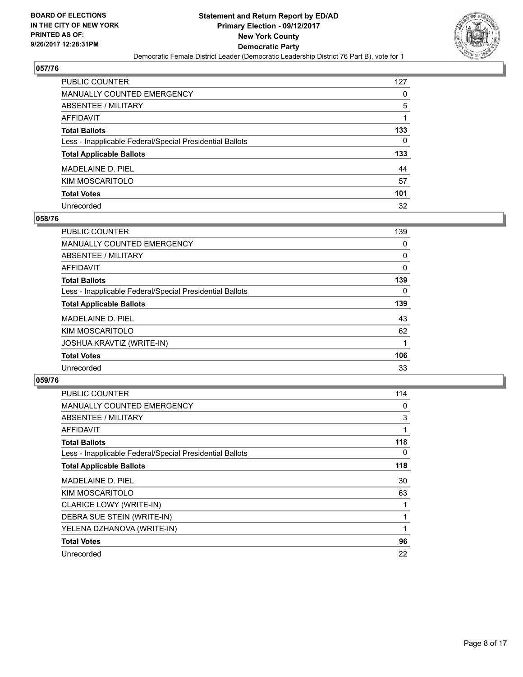

| PUBLIC COUNTER                                           | 127 |
|----------------------------------------------------------|-----|
| <b>MANUALLY COUNTED EMERGENCY</b>                        | 0   |
| ABSENTEE / MILITARY                                      | 5   |
| <b>AFFIDAVIT</b>                                         |     |
| <b>Total Ballots</b>                                     | 133 |
| Less - Inapplicable Federal/Special Presidential Ballots | 0   |
| <b>Total Applicable Ballots</b>                          | 133 |
| MADELAINE D. PIEL                                        | 44  |
| KIM MOSCARITOLO                                          | 57  |
| <b>Total Votes</b>                                       | 101 |
| Unrecorded                                               | 32  |

## **058/76**

| <b>PUBLIC COUNTER</b>                                    | 139 |
|----------------------------------------------------------|-----|
| MANUALLY COUNTED EMERGENCY                               | 0   |
| ABSENTEE / MILITARY                                      | 0   |
| AFFIDAVIT                                                | 0   |
| <b>Total Ballots</b>                                     | 139 |
| Less - Inapplicable Federal/Special Presidential Ballots | 0   |
| <b>Total Applicable Ballots</b>                          | 139 |
| MADELAINE D. PIEL                                        | 43  |
| KIM MOSCARITOLO                                          | 62  |
| JOSHUA KRAVTIZ (WRITE-IN)                                |     |
| <b>Total Votes</b>                                       | 106 |
| Unrecorded                                               | 33  |

| <b>PUBLIC COUNTER</b>                                    | 114 |
|----------------------------------------------------------|-----|
| <b>MANUALLY COUNTED EMERGENCY</b>                        | 0   |
| ABSENTEE / MILITARY                                      | 3   |
| AFFIDAVIT                                                | 1   |
| <b>Total Ballots</b>                                     | 118 |
| Less - Inapplicable Federal/Special Presidential Ballots | 0   |
| <b>Total Applicable Ballots</b>                          | 118 |
| MADELAINE D. PIEL                                        | 30  |
| KIM MOSCARITOLO                                          | 63  |
| <b>CLARICE LOWY (WRITE-IN)</b>                           |     |
| DEBRA SUE STEIN (WRITE-IN)                               |     |
| YELENA DZHANOVA (WRITE-IN)                               |     |
| <b>Total Votes</b>                                       | 96  |
|                                                          |     |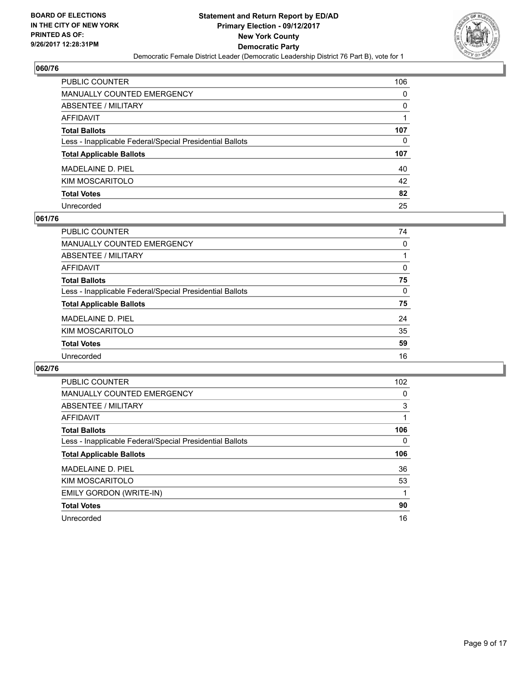

| PUBLIC COUNTER                                           | 106 |
|----------------------------------------------------------|-----|
| <b>MANUALLY COUNTED EMERGENCY</b>                        | 0   |
| ABSENTEE / MILITARY                                      | 0   |
| <b>AFFIDAVIT</b>                                         |     |
| <b>Total Ballots</b>                                     | 107 |
| Less - Inapplicable Federal/Special Presidential Ballots | 0   |
| <b>Total Applicable Ballots</b>                          | 107 |
| MADELAINE D. PIEL                                        | 40  |
| KIM MOSCARITOLO                                          | 42  |
| <b>Total Votes</b>                                       | 82  |
| Unrecorded                                               | 25  |

## **061/76**

| <b>PUBLIC COUNTER</b>                                    | 74 |
|----------------------------------------------------------|----|
| MANUALLY COUNTED EMERGENCY                               | 0  |
| ABSENTEE / MILITARY                                      |    |
| AFFIDAVIT                                                | 0  |
| <b>Total Ballots</b>                                     | 75 |
| Less - Inapplicable Federal/Special Presidential Ballots | 0  |
| <b>Total Applicable Ballots</b>                          | 75 |
| MADELAINE D. PIEL                                        | 24 |
| KIM MOSCARITOLO                                          | 35 |
| <b>Total Votes</b>                                       | 59 |
| Unrecorded                                               | 16 |
|                                                          |    |

| PUBLIC COUNTER                                           | 102 |
|----------------------------------------------------------|-----|
| <b>MANUALLY COUNTED EMERGENCY</b>                        | 0   |
| ABSENTEE / MILITARY                                      | 3   |
| AFFIDAVIT                                                |     |
| <b>Total Ballots</b>                                     | 106 |
| Less - Inapplicable Federal/Special Presidential Ballots | 0   |
| <b>Total Applicable Ballots</b>                          | 106 |
|                                                          |     |
| MADELAINE D. PIEL                                        | 36  |
| KIM MOSCARITOLO                                          | 53  |
| EMILY GORDON (WRITE-IN)                                  |     |
| <b>Total Votes</b>                                       | 90  |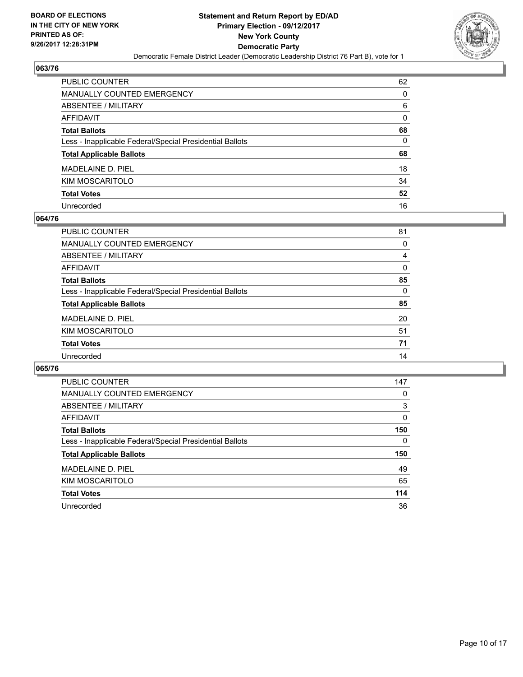

| PUBLIC COUNTER                                           | 62 |
|----------------------------------------------------------|----|
| <b>MANUALLY COUNTED EMERGENCY</b>                        | 0  |
| <b>ABSENTEE / MILITARY</b>                               | 6  |
| <b>AFFIDAVIT</b>                                         | 0  |
| <b>Total Ballots</b>                                     | 68 |
| Less - Inapplicable Federal/Special Presidential Ballots | 0  |
| <b>Total Applicable Ballots</b>                          | 68 |
| MADELAINE D. PIEL                                        | 18 |
| KIM MOSCARITOLO                                          | 34 |
| <b>Total Votes</b>                                       | 52 |
| Unrecorded                                               | 16 |

## **064/76**

| PUBLIC COUNTER                                           | 81 |
|----------------------------------------------------------|----|
| MANUALLY COUNTED EMERGENCY                               | 0  |
| ABSENTEE / MILITARY                                      | 4  |
| AFFIDAVIT                                                | 0  |
| <b>Total Ballots</b>                                     | 85 |
| Less - Inapplicable Federal/Special Presidential Ballots | 0  |
| <b>Total Applicable Ballots</b>                          | 85 |
| MADELAINE D. PIEL                                        | 20 |
| KIM MOSCARITOLO                                          | 51 |
| <b>Total Votes</b>                                       | 71 |
| Unrecorded                                               | 14 |

| PUBLIC COUNTER                                           | 147 |
|----------------------------------------------------------|-----|
| <b>MANUALLY COUNTED EMERGENCY</b>                        | 0   |
| ABSENTEE / MILITARY                                      | 3   |
| AFFIDAVIT                                                | 0   |
| <b>Total Ballots</b>                                     | 150 |
| Less - Inapplicable Federal/Special Presidential Ballots | 0   |
|                                                          |     |
| <b>Total Applicable Ballots</b>                          | 150 |
| MADELAINE D. PIEL                                        | 49  |
| KIM MOSCARITOLO                                          | 65  |
| <b>Total Votes</b>                                       | 114 |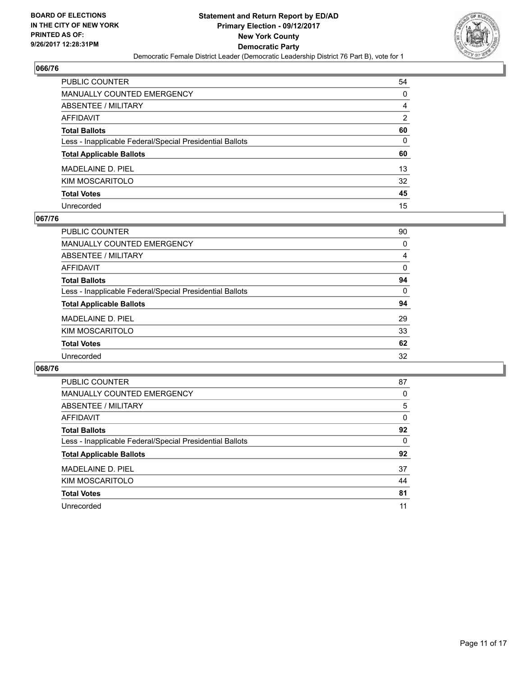

| PUBLIC COUNTER                                           | 54 |
|----------------------------------------------------------|----|
| <b>MANUALLY COUNTED EMERGENCY</b>                        | 0  |
| <b>ABSENTEE / MILITARY</b>                               | 4  |
| <b>AFFIDAVIT</b>                                         | 2  |
| <b>Total Ballots</b>                                     | 60 |
| Less - Inapplicable Federal/Special Presidential Ballots | 0  |
| <b>Total Applicable Ballots</b>                          | 60 |
| MADELAINE D. PIEL                                        | 13 |
| KIM MOSCARITOLO                                          | 32 |
| <b>Total Votes</b>                                       | 45 |
| Unrecorded                                               | 15 |

## **067/76**

| <b>PUBLIC COUNTER</b>                                    | 90 |
|----------------------------------------------------------|----|
| <b>MANUALLY COUNTED EMERGENCY</b>                        | 0  |
| ABSENTEE / MILITARY                                      | 4  |
| AFFIDAVIT                                                | 0  |
| <b>Total Ballots</b>                                     | 94 |
| Less - Inapplicable Federal/Special Presidential Ballots | 0  |
| <b>Total Applicable Ballots</b>                          | 94 |
| MADELAINE D. PIEL                                        | 29 |
| KIM MOSCARITOLO                                          | 33 |
| <b>Total Votes</b>                                       | 62 |
| Unrecorded                                               | 32 |

| <b>PUBLIC COUNTER</b>                                    | 87 |
|----------------------------------------------------------|----|
| <b>MANUALLY COUNTED EMERGENCY</b>                        | 0  |
| ABSENTEE / MILITARY                                      | 5  |
| AFFIDAVIT                                                | 0  |
| <b>Total Ballots</b>                                     | 92 |
| Less - Inapplicable Federal/Special Presidential Ballots | 0  |
| <b>Total Applicable Ballots</b>                          | 92 |
| MADELAINE D. PIEL                                        | 37 |
| KIM MOSCARITOLO                                          | 44 |
| <b>Total Votes</b>                                       | 81 |
| Unrecorded                                               | 11 |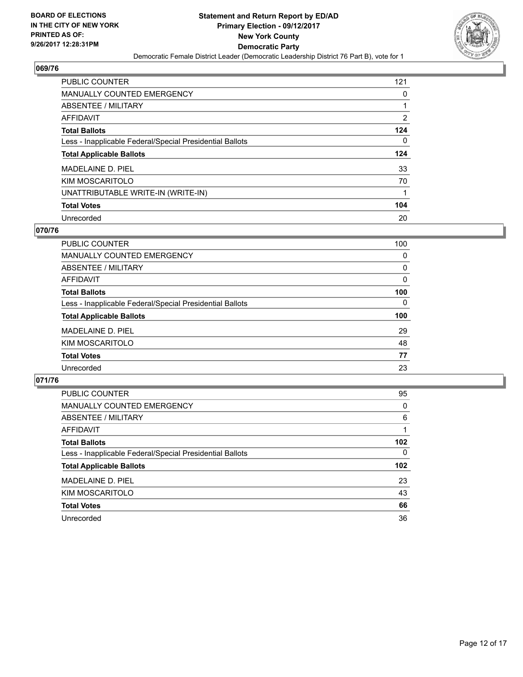

| <b>PUBLIC COUNTER</b>                                    | 121 |
|----------------------------------------------------------|-----|
| MANUALLY COUNTED EMERGENCY                               | 0   |
| ABSENTEE / MILITARY                                      |     |
| AFFIDAVIT                                                | 2   |
| <b>Total Ballots</b>                                     | 124 |
| Less - Inapplicable Federal/Special Presidential Ballots | 0   |
| <b>Total Applicable Ballots</b>                          | 124 |
| MADELAINE D. PIEL                                        | 33  |
| KIM MOSCARITOLO                                          | 70  |
| UNATTRIBUTABLE WRITE-IN (WRITE-IN)                       | 1   |
| <b>Total Votes</b>                                       | 104 |
| Unrecorded                                               | 20  |

## **070/76**

| <b>PUBLIC COUNTER</b>                                    | 100 |
|----------------------------------------------------------|-----|
| <b>MANUALLY COUNTED EMERGENCY</b>                        | 0   |
| ABSENTEE / MILITARY                                      | 0   |
| AFFIDAVIT                                                | 0   |
| <b>Total Ballots</b>                                     | 100 |
| Less - Inapplicable Federal/Special Presidential Ballots | 0   |
| <b>Total Applicable Ballots</b>                          | 100 |
| MADELAINE D. PIEL                                        | 29  |
| KIM MOSCARITOLO                                          | 48  |
| <b>Total Votes</b>                                       | 77  |
| Unrecorded                                               | 23  |

| <b>PUBLIC COUNTER</b>                                    | 95               |
|----------------------------------------------------------|------------------|
| <b>MANUALLY COUNTED EMERGENCY</b>                        | 0                |
| ABSENTEE / MILITARY                                      | 6                |
| AFFIDAVIT                                                |                  |
| <b>Total Ballots</b>                                     | 102 <sub>2</sub> |
| Less - Inapplicable Federal/Special Presidential Ballots | 0                |
| <b>Total Applicable Ballots</b>                          | 102              |
| MADELAINE D. PIEL                                        | 23               |
| KIM MOSCARITOLO                                          | 43               |
| <b>Total Votes</b>                                       | 66               |
| Unrecorded                                               | 36               |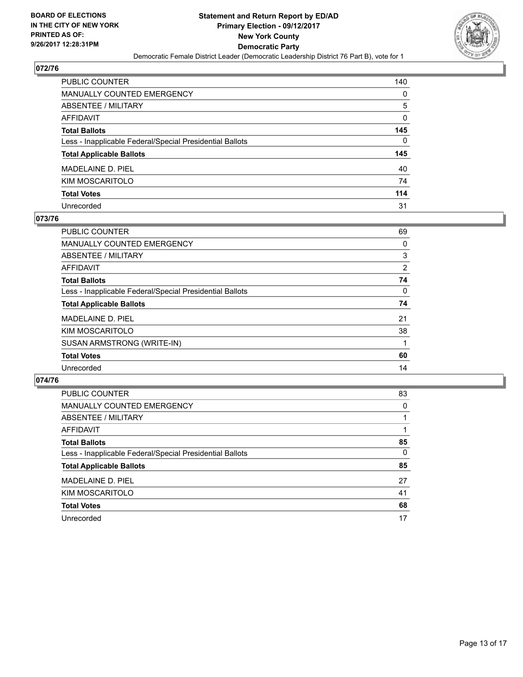

| PUBLIC COUNTER                                           | 140 |
|----------------------------------------------------------|-----|
| <b>MANUALLY COUNTED EMERGENCY</b>                        | 0   |
| <b>ABSENTEE / MILITARY</b>                               | 5   |
| <b>AFFIDAVIT</b>                                         | 0   |
| <b>Total Ballots</b>                                     | 145 |
| Less - Inapplicable Federal/Special Presidential Ballots | 0   |
| <b>Total Applicable Ballots</b>                          | 145 |
| MADELAINE D. PIEL                                        | 40  |
| KIM MOSCARITOLO                                          | 74  |
| <b>Total Votes</b>                                       | 114 |
| Unrecorded                                               | 31  |

## **073/76**

| <b>PUBLIC COUNTER</b>                                    | 69             |
|----------------------------------------------------------|----------------|
| <b>MANUALLY COUNTED EMERGENCY</b>                        | 0              |
| ABSENTEE / MILITARY                                      | 3              |
| AFFIDAVIT                                                | $\overline{2}$ |
| <b>Total Ballots</b>                                     | 74             |
| Less - Inapplicable Federal/Special Presidential Ballots | 0              |
| <b>Total Applicable Ballots</b>                          | 74             |
| MADELAINE D. PIEL                                        | 21             |
| KIM MOSCARITOLO                                          | 38             |
| SUSAN ARMSTRONG (WRITE-IN)                               |                |
| <b>Total Votes</b>                                       | 60             |
| Unrecorded                                               | 14             |

| <b>PUBLIC COUNTER</b>                                    | 83 |
|----------------------------------------------------------|----|
| <b>MANUALLY COUNTED EMERGENCY</b>                        | 0  |
| ABSENTEE / MILITARY                                      |    |
| AFFIDAVIT                                                |    |
| <b>Total Ballots</b>                                     | 85 |
| Less - Inapplicable Federal/Special Presidential Ballots | 0  |
| <b>Total Applicable Ballots</b>                          | 85 |
| MADELAINE D. PIEL                                        | 27 |
| KIM MOSCARITOLO                                          | 41 |
| <b>Total Votes</b>                                       | 68 |
| Unrecorded                                               | 17 |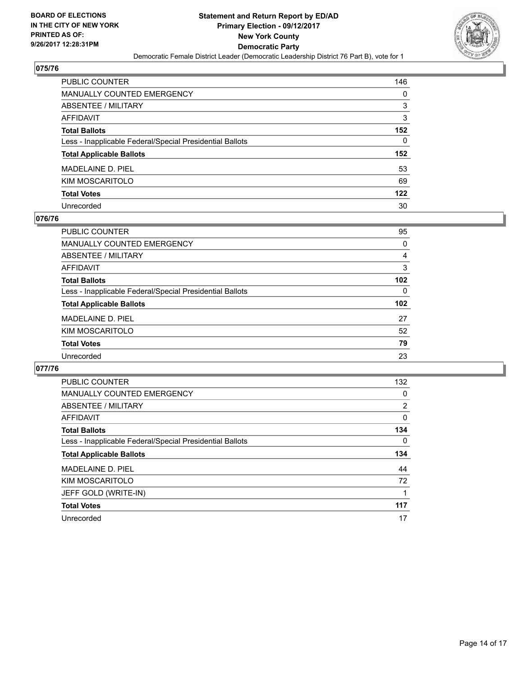

| PUBLIC COUNTER                                           | 146 |
|----------------------------------------------------------|-----|
| <b>MANUALLY COUNTED EMERGENCY</b>                        | 0   |
| ABSENTEE / MILITARY                                      | 3   |
| <b>AFFIDAVIT</b>                                         | 3   |
| <b>Total Ballots</b>                                     | 152 |
| Less - Inapplicable Federal/Special Presidential Ballots | 0   |
| <b>Total Applicable Ballots</b>                          | 152 |
| MADELAINE D. PIEL                                        | 53  |
| KIM MOSCARITOLO                                          | 69  |
| <b>Total Votes</b>                                       | 122 |
| Unrecorded                                               | 30  |

## **076/76**

| <b>PUBLIC COUNTER</b>                                    | 95       |
|----------------------------------------------------------|----------|
| <b>MANUALLY COUNTED EMERGENCY</b>                        | 0        |
| ABSENTEE / MILITARY                                      | 4        |
| AFFIDAVIT                                                | 3        |
| <b>Total Ballots</b>                                     | 102      |
| Less - Inapplicable Federal/Special Presidential Ballots | $\Omega$ |
| <b>Total Applicable Ballots</b>                          | 102      |
| MADELAINE D. PIEL                                        | 27       |
| KIM MOSCARITOLO                                          | 52       |
| <b>Total Votes</b>                                       | 79       |
| Unrecorded                                               | 23       |
|                                                          |          |

| <b>PUBLIC COUNTER</b>                                    | 132            |
|----------------------------------------------------------|----------------|
| <b>MANUALLY COUNTED EMERGENCY</b>                        | 0              |
| ABSENTEE / MILITARY                                      | $\overline{2}$ |
| AFFIDAVIT                                                | 0              |
| <b>Total Ballots</b>                                     | 134            |
| Less - Inapplicable Federal/Special Presidential Ballots | 0              |
| <b>Total Applicable Ballots</b>                          | 134            |
| MADELAINE D. PIEL                                        | 44             |
| KIM MOSCARITOLO                                          | 72             |
| JEFF GOLD (WRITE-IN)                                     |                |
| <b>Total Votes</b>                                       | 117            |
| Unrecorded                                               | 17             |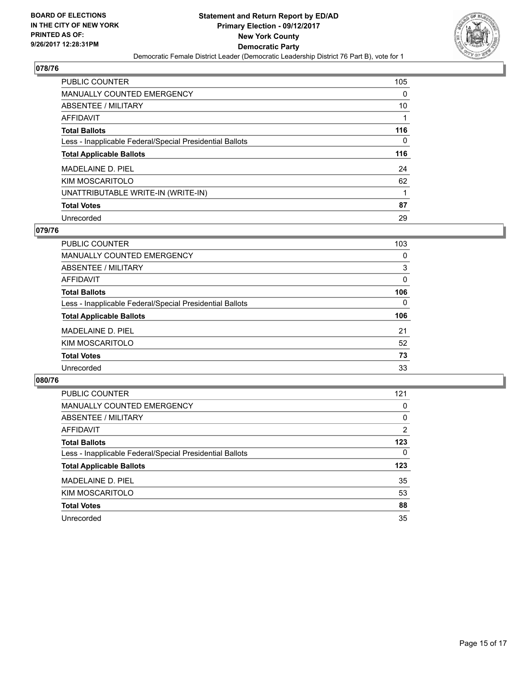

| <b>PUBLIC COUNTER</b>                                    | 105 |
|----------------------------------------------------------|-----|
| MANUALLY COUNTED EMERGENCY                               | 0   |
| ABSENTEE / MILITARY                                      | 10  |
| AFFIDAVIT                                                |     |
| <b>Total Ballots</b>                                     | 116 |
| Less - Inapplicable Federal/Special Presidential Ballots | 0   |
| <b>Total Applicable Ballots</b>                          | 116 |
| MADELAINE D. PIEL                                        | 24  |
| KIM MOSCARITOLO                                          | 62  |
| UNATTRIBUTABLE WRITE-IN (WRITE-IN)                       |     |
| <b>Total Votes</b>                                       | 87  |
| Unrecorded                                               | 29  |

## **079/76**

| <b>PUBLIC COUNTER</b>                                    | 103      |
|----------------------------------------------------------|----------|
| MANUALLY COUNTED EMERGENCY                               | 0        |
| ABSENTEE / MILITARY                                      | 3        |
| AFFIDAVIT                                                | $\Omega$ |
| <b>Total Ballots</b>                                     | 106      |
| Less - Inapplicable Federal/Special Presidential Ballots | $\Omega$ |
| <b>Total Applicable Ballots</b>                          | 106      |
| MADELAINE D. PIEL                                        | 21       |
| KIM MOSCARITOLO                                          | 52       |
| <b>Total Votes</b>                                       | 73       |
| Unrecorded                                               | 33       |

| <b>PUBLIC COUNTER</b>                                    | 121 |
|----------------------------------------------------------|-----|
| <b>MANUALLY COUNTED EMERGENCY</b>                        | 0   |
| ABSENTEE / MILITARY                                      | 0   |
| AFFIDAVIT                                                | 2   |
| <b>Total Ballots</b>                                     | 123 |
| Less - Inapplicable Federal/Special Presidential Ballots | 0   |
| <b>Total Applicable Ballots</b>                          | 123 |
| MADELAINE D. PIEL                                        | 35  |
| KIM MOSCARITOLO                                          | 53  |
| <b>Total Votes</b>                                       | 88  |
| Unrecorded                                               | 35  |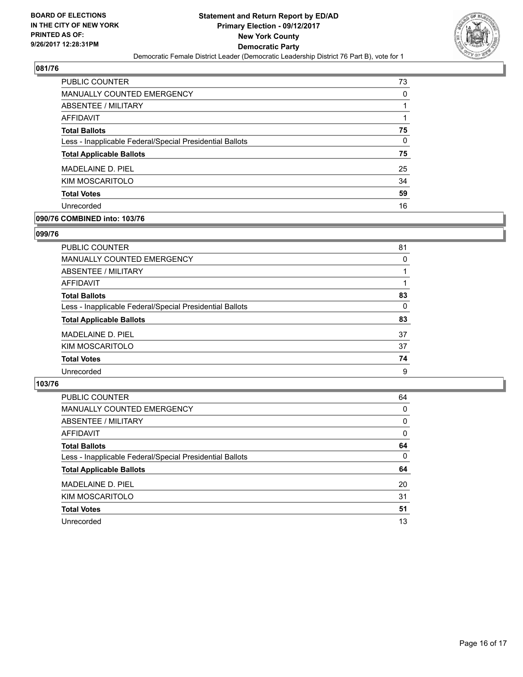

| PUBLIC COUNTER                                           | 73 |
|----------------------------------------------------------|----|
| <b>MANUALLY COUNTED EMERGENCY</b>                        | 0  |
| ABSENTEE / MILITARY                                      |    |
| AFFIDAVIT                                                |    |
| <b>Total Ballots</b>                                     | 75 |
| Less - Inapplicable Federal/Special Presidential Ballots | 0  |
| <b>Total Applicable Ballots</b>                          | 75 |
| MADELAINE D. PIEL                                        | 25 |
| KIM MOSCARITOLO                                          | 34 |
| <b>Total Votes</b>                                       | 59 |
| Unrecorded                                               | 16 |

## **090/76 COMBINED into: 103/76**

## **099/76**

| PUBLIC COUNTER                                           | 81       |
|----------------------------------------------------------|----------|
| <b>MANUALLY COUNTED EMERGENCY</b>                        | 0        |
| ABSENTEE / MILITARY                                      |          |
| AFFIDAVIT                                                |          |
| <b>Total Ballots</b>                                     | 83       |
| Less - Inapplicable Federal/Special Presidential Ballots | $\Omega$ |
| <b>Total Applicable Ballots</b>                          | 83       |
| MADELAINE D. PIEL                                        | 37       |
| KIM MOSCARITOLO                                          | 37       |
| <b>Total Votes</b>                                       | 74       |
| Unrecorded                                               | 9        |

| <b>PUBLIC COUNTER</b>                                    | 64 |
|----------------------------------------------------------|----|
| <b>MANUALLY COUNTED EMERGENCY</b>                        | 0  |
| ABSENTEE / MILITARY                                      | 0  |
| AFFIDAVIT                                                | 0  |
| <b>Total Ballots</b>                                     | 64 |
| Less - Inapplicable Federal/Special Presidential Ballots | 0  |
| <b>Total Applicable Ballots</b>                          | 64 |
| MADELAINE D. PIEL                                        | 20 |
| KIM MOSCARITOLO                                          | 31 |
| <b>Total Votes</b>                                       | 51 |
| Unrecorded                                               | 13 |